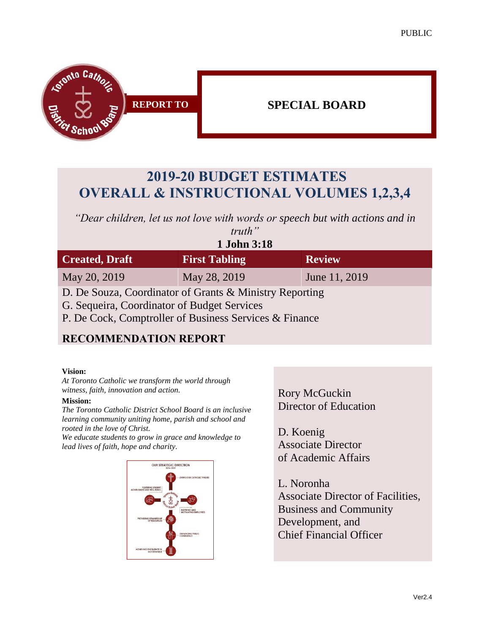

# **2019-20 BUDGET ESTIMATES OVERALL & INSTRUCTIONAL VOLUMES 1,2,3,4**

*"Dear children, let us not love with words or speech but with actions and in* 

| truth"                                                  |                      |               |
|---------------------------------------------------------|----------------------|---------------|
| 1 John 3:18                                             |                      |               |
| <b>Created, Draft</b>                                   | <b>First Tabling</b> | <b>Review</b> |
| May 20, 2019                                            | May 28, 2019         | June 11, 2019 |
| D. De Souza, Coordinator of Grants & Ministry Reporting |                      |               |

G. Sequeira, Coordinator of Budget Services

P. De Cock, Comptroller of Business Services & Finance

### **RECOMMENDATION REPORT**

#### **Vision:**

*At Toronto Catholic we transform the world through witness, faith, innovation and action.*

#### **Mission:**

*The Toronto Catholic District School Board is an inclusive learning community uniting home, parish and school and rooted in the love of Christ.* 

*We educate students to grow in grace and knowledge to lead lives of faith, hope and charity.*



Rory McGuckin Director of Education

D. Koenig Associate Director of Academic Affairs

L. Noronha Associate Director of Facilities, Business and Community Development, and Chief Financial Officer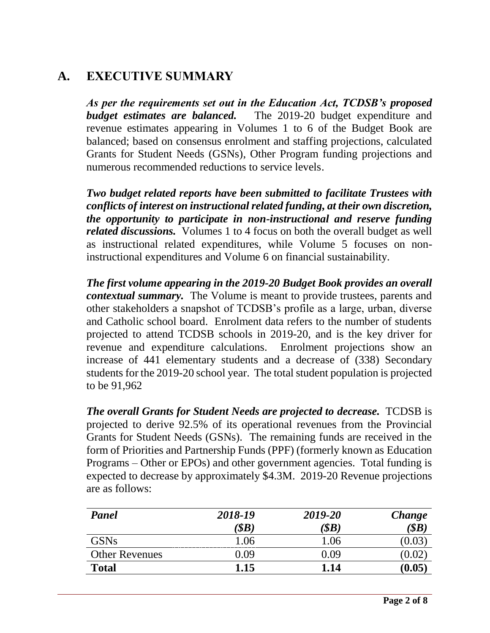# **A. EXECUTIVE SUMMARY**

*As per the requirements set out in the Education Act, TCDSB's proposed budget estimates are balanced.* The 2019-20 budget expenditure and revenue estimates appearing in Volumes 1 to 6 of the Budget Book are balanced; based on consensus enrolment and staffing projections, calculated Grants for Student Needs (GSNs), Other Program funding projections and numerous recommended reductions to service levels.

*Two budget related reports have been submitted to facilitate Trustees with conflicts of interest on instructional related funding, at their own discretion, the opportunity to participate in non-instructional and reserve funding related discussions.* Volumes 1 to 4 focus on both the overall budget as well as instructional related expenditures, while Volume 5 focuses on noninstructional expenditures and Volume 6 on financial sustainability.

*The first volume appearing in the 2019-20 Budget Book provides an overall contextual summary.* The Volume is meant to provide trustees, parents and other stakeholders a snapshot of TCDSB's profile as a large, urban, diverse and Catholic school board. Enrolment data refers to the number of students projected to attend TCDSB schools in 2019-20, and is the key driver for revenue and expenditure calculations. Enrolment projections show an increase of 441 elementary students and a decrease of (338) Secondary students for the 2019-20 school year. The total student population is projected to be 91,962

*The overall Grants for Student Needs are projected to decrease.* TCDSB is projected to derive 92.5% of its operational revenues from the Provincial Grants for Student Needs (GSNs). The remaining funds are received in the form of Priorities and Partnership Funds (PPF) (formerly known as Education Programs – Other or EPOs) and other government agencies. Total funding is expected to decrease by approximately \$4.3M. 2019-20 Revenue projections are as follows:

| Panel                 | 2018-19       | 2019-20                  | Change |
|-----------------------|---------------|--------------------------|--------|
|                       | $\langle$ SB) | $\langle$ \$ $B \rangle$ | \$B\$  |
| GSNs                  | 1.06          | 1.06                     |        |
| <b>Other Revenues</b> | 0.09          | 0.09                     |        |
| <b>Total</b>          | 1.15          | 1.14                     | 0.05   |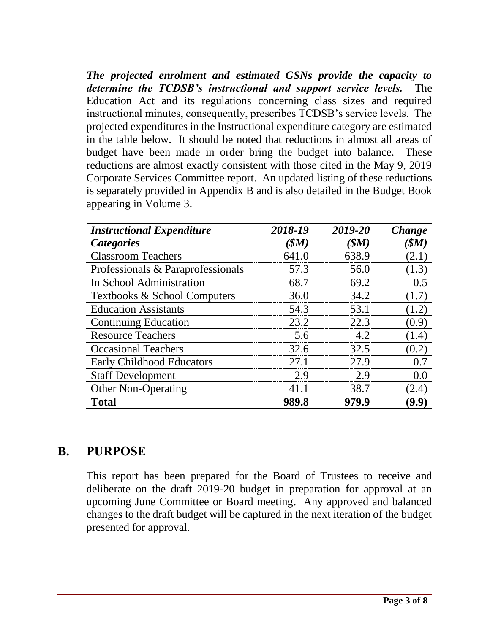*The projected enrolment and estimated GSNs provide the capacity to determine the TCDSB's instructional and support service levels.* The Education Act and its regulations concerning class sizes and required instructional minutes, consequently, prescribes TCDSB's service levels. The projected expenditures in the Instructional expenditure category are estimated in the table below. It should be noted that reductions in almost all areas of budget have been made in order bring the budget into balance. These reductions are almost exactly consistent with those cited in the May 9, 2019 Corporate Services Committee report. An updated listing of these reductions is separately provided in Appendix B and is also detailed in the Budget Book appearing in Volume 3.

| <b>Instructional Expenditure</b>  | 2018-19         | 2019-20 | Change |
|-----------------------------------|-----------------|---------|--------|
| <b>Categories</b>                 | $(S\mathbf{M})$ | (SM)    | (SM)   |
| <b>Classroom Teachers</b>         | 641.0           | 638.9   | (2.1)  |
| Professionals & Paraprofessionals | 57.3            | 56.0    | (1.3)  |
| In School Administration          | 68.7            | 69.2    | 0.5    |
| Textbooks & School Computers      | 36.0            | 34.2    | (1.7)  |
| <b>Education Assistants</b>       | 54.3            | 53.1    | (1.2)  |
| <b>Continuing Education</b>       | 23.2            | 22.3    | (0.9)  |
| <b>Resource Teachers</b>          | 5.6             | 4.2     | (1.4)  |
| <b>Occasional Teachers</b>        | 32.6            | 32.5    | (0.2)  |
| <b>Early Childhood Educators</b>  | 27.1            | 27.9    | 0.7    |
| <b>Staff Development</b>          | 2.9             | 2.9     | 0.0    |
| <b>Other Non-Operating</b>        | 41.1            | 38.7    | (2.4)  |
| Total                             | 989.8           | 979.9   | 9.9)   |

### **B. PURPOSE**

This report has been prepared for the Board of Trustees to receive and deliberate on the draft 2019-20 budget in preparation for approval at an upcoming June Committee or Board meeting. Any approved and balanced changes to the draft budget will be captured in the next iteration of the budget presented for approval.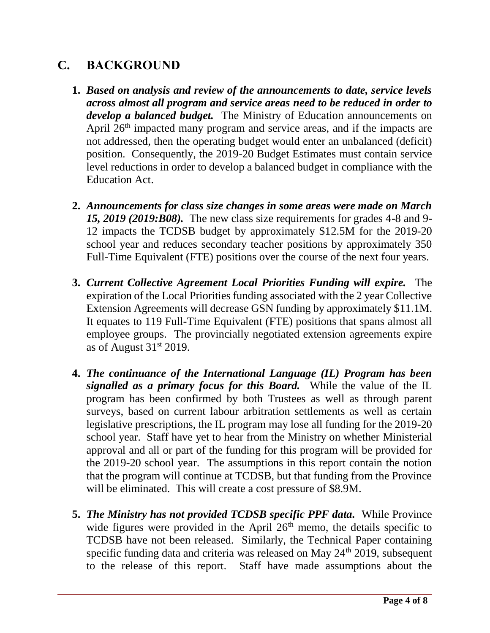## **C. BACKGROUND**

- **1.** *Based on analysis and review of the announcements to date, service levels across almost all program and service areas need to be reduced in order to develop a balanced budget.* The Ministry of Education announcements on April  $26<sup>th</sup>$  impacted many program and service areas, and if the impacts are not addressed, then the operating budget would enter an unbalanced (deficit) position. Consequently, the 2019-20 Budget Estimates must contain service level reductions in order to develop a balanced budget in compliance with the Education Act.
- **2.** *Announcements for class size changes in some areas were made on March 15, 2019 (2019:B08).* The new class size requirements for grades 4-8 and 9- 12 impacts the TCDSB budget by approximately \$12.5M for the 2019-20 school year and reduces secondary teacher positions by approximately 350 Full-Time Equivalent (FTE) positions over the course of the next four years.
- **3.** *Current Collective Agreement Local Priorities Funding will expire.* The expiration of the Local Priorities funding associated with the 2 year Collective Extension Agreements will decrease GSN funding by approximately \$11.1M. It equates to 119 Full-Time Equivalent (FTE) positions that spans almost all employee groups. The provincially negotiated extension agreements expire as of August  $31<sup>st</sup> 2019$ .
- **4.** *The continuance of the International Language (IL) Program has been signalled as a primary focus for this Board.* While the value of the IL program has been confirmed by both Trustees as well as through parent surveys, based on current labour arbitration settlements as well as certain legislative prescriptions, the IL program may lose all funding for the 2019-20 school year. Staff have yet to hear from the Ministry on whether Ministerial approval and all or part of the funding for this program will be provided for the 2019-20 school year. The assumptions in this report contain the notion that the program will continue at TCDSB, but that funding from the Province will be eliminated. This will create a cost pressure of \$8.9M.
- **5.** *The Ministry has not provided TCDSB specific PPF data.* While Province wide figures were provided in the April  $26<sup>th</sup>$  memo, the details specific to TCDSB have not been released. Similarly, the Technical Paper containing specific funding data and criteria was released on May 24<sup>th</sup> 2019, subsequent to the release of this report. Staff have made assumptions about the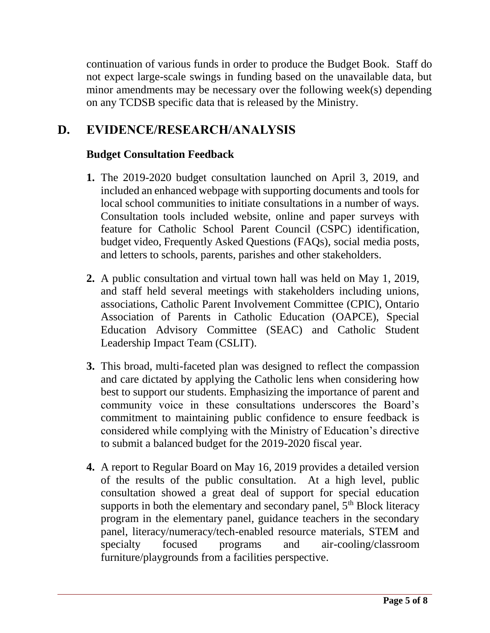continuation of various funds in order to produce the Budget Book. Staff do not expect large-scale swings in funding based on the unavailable data, but minor amendments may be necessary over the following week(s) depending on any TCDSB specific data that is released by the Ministry.

## **D. EVIDENCE/RESEARCH/ANALYSIS**

#### **Budget Consultation Feedback**

- **1.** The 2019-2020 budget consultation launched on April 3, 2019, and included an enhanced webpage with supporting documents and tools for local school communities to initiate consultations in a number of ways. Consultation tools included website, online and paper surveys with feature for Catholic School Parent Council (CSPC) identification, budget video, Frequently Asked Questions (FAQs), social media posts, and letters to schools, parents, parishes and other stakeholders.
- **2.** A public consultation and virtual town hall was held on May 1, 2019, and staff held several meetings with stakeholders including unions, associations, Catholic Parent Involvement Committee (CPIC), Ontario Association of Parents in Catholic Education (OAPCE), Special Education Advisory Committee (SEAC) and Catholic Student Leadership Impact Team (CSLIT).
- **3.** This broad, multi-faceted plan was designed to reflect the compassion and care dictated by applying the Catholic lens when considering how best to support our students. Emphasizing the importance of parent and community voice in these consultations underscores the Board's commitment to maintaining public confidence to ensure feedback is considered while complying with the Ministry of Education's directive to submit a balanced budget for the 2019-2020 fiscal year.
- **4.** A report to Regular Board on May 16, 2019 provides a detailed version of the results of the public consultation. At a high level, public consultation showed a great deal of support for special education supports in both the elementary and secondary panel,  $5<sup>th</sup>$  Block literacy program in the elementary panel, guidance teachers in the secondary panel, literacy/numeracy/tech-enabled resource materials, STEM and specialty focused programs and air-cooling/classroom furniture/playgrounds from a facilities perspective.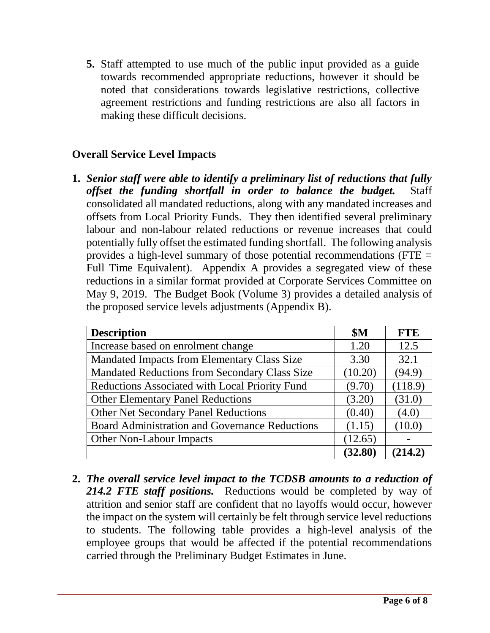**5.** Staff attempted to use much of the public input provided as a guide towards recommended appropriate reductions, however it should be noted that considerations towards legislative restrictions, collective agreement restrictions and funding restrictions are also all factors in making these difficult decisions.

#### **Overall Service Level Impacts**

**1.** *Senior staff were able to identify a preliminary list of reductions that fully offset the funding shortfall in order to balance the budget.* Staff consolidated all mandated reductions, along with any mandated increases and offsets from Local Priority Funds. They then identified several preliminary labour and non-labour related reductions or revenue increases that could potentially fully offset the estimated funding shortfall. The following analysis provides a high-level summary of those potential recommendations (FTE  $=$ Full Time Equivalent). Appendix A provides a segregated view of these reductions in a similar format provided at Corporate Services Committee on May 9, 2019. The Budget Book (Volume 3) provides a detailed analysis of the proposed service levels adjustments (Appendix B).

| <b>Description</b>                             | \$M     | <b>FTE</b> |
|------------------------------------------------|---------|------------|
| Increase based on enrolment change             | 1.20    | 12.5       |
| Mandated Impacts from Elementary Class Size    | 3.30    | 32.1       |
| Mandated Reductions from Secondary Class Size  | (10.20) | (94.9)     |
| Reductions Associated with Local Priority Fund | (9.70)  | (118.9)    |
| <b>Other Elementary Panel Reductions</b>       | (3.20)  | (31.0)     |
| <b>Other Net Secondary Panel Reductions</b>    | (0.40)  | (4.0)      |
| Board Administration and Governance Reductions | (1.15)  | (10.0)     |
| <b>Other Non-Labour Impacts</b>                | (12.65) |            |
|                                                | (32.80) | (214.2)    |

**2.** *The overall service level impact to the TCDSB amounts to a reduction of 214.2 FTE staff positions.* Reductions would be completed by way of attrition and senior staff are confident that no layoffs would occur, however the impact on the system will certainly be felt through service level reductions to students. The following table provides a high-level analysis of the employee groups that would be affected if the potential recommendations carried through the Preliminary Budget Estimates in June.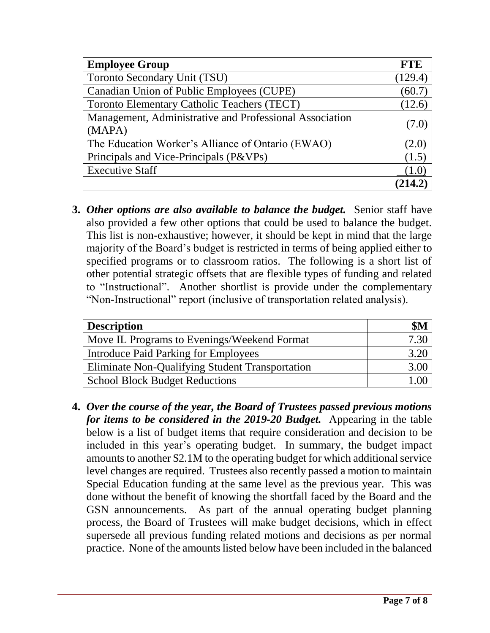| <b>Employee Group</b>                                   | <b>FTE</b> |
|---------------------------------------------------------|------------|
| Toronto Secondary Unit (TSU)                            | (129.4)    |
| Canadian Union of Public Employees (CUPE)               | (60.7)     |
| <b>Toronto Elementary Catholic Teachers (TECT)</b>      | (12.6)     |
| Management, Administrative and Professional Association | (7.0)      |
| (MAPA)                                                  |            |
| The Education Worker's Alliance of Ontario (EWAO)       | (2.0)      |
| Principals and Vice-Principals (P&VPs)                  | (1.5)      |
| <b>Executive Staff</b>                                  |            |
|                                                         |            |

**3.** *Other options are also available to balance the budget.* Senior staff have also provided a few other options that could be used to balance the budget. This list is non-exhaustive; however, it should be kept in mind that the large majority of the Board's budget is restricted in terms of being applied either to specified programs or to classroom ratios. The following is a short list of other potential strategic offsets that are flexible types of funding and related to "Instructional". Another shortlist is provide under the complementary "Non-Instructional" report (inclusive of transportation related analysis).

| <b>Description</b>                              | \$M  |
|-------------------------------------------------|------|
| Move IL Programs to Evenings/Weekend Format     | 7.30 |
| Introduce Paid Parking for Employees            |      |
| Eliminate Non-Qualifying Student Transportation |      |
| <b>School Block Budget Reductions</b>           |      |

**4.** *Over the course of the year, the Board of Trustees passed previous motions for items to be considered in the 2019-20 Budget.* Appearing in the table below is a list of budget items that require consideration and decision to be included in this year's operating budget. In summary, the budget impact amounts to another \$2.1M to the operating budget for which additional service level changes are required. Trustees also recently passed a motion to maintain Special Education funding at the same level as the previous year. This was done without the benefit of knowing the shortfall faced by the Board and the GSN announcements. As part of the annual operating budget planning process, the Board of Trustees will make budget decisions, which in effect supersede all previous funding related motions and decisions as per normal practice. None of the amounts listed below have been included in the balanced